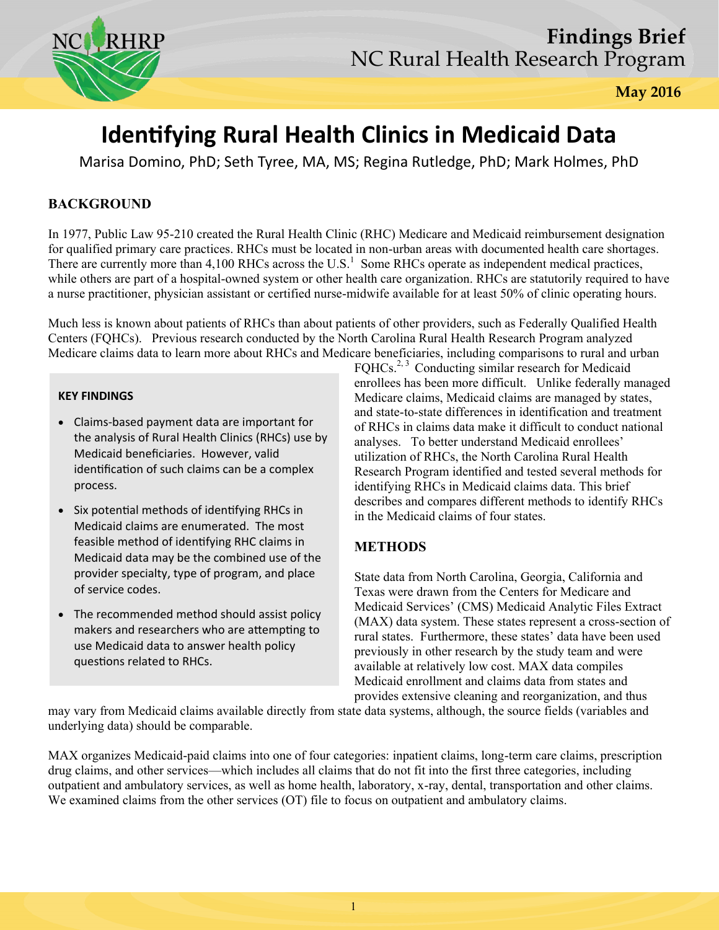

**May 2016** 

# **Identifying Rural Health Clinics in Medicaid Data**

Marisa Domino, PhD; Seth Tyree, MA, MS; Regina Rutledge, PhD; Mark Holmes, PhD

## **BACKGROUND**

In 1977, Public Law 95-210 created the Rural Health Clinic (RHC) Medicare and Medicaid reimbursement designation for qualified primary care practices. RHCs must be located in non-urban areas with documented health care shortages. There are currently more than 4,100 RHCs across the U.S.<sup>1</sup> Some RHCs operate as independent medical practices, while others are part of a hospital-owned system or other health care organization. RHCs are statutorily required to have a nurse practitioner, physician assistant or certified nurse-midwife available for at least 50% of clinic operating hours.

Much less is known about patients of RHCs than about patients of other providers, such as Federally Qualified Health Centers (FQHCs). Previous research conducted by the North Carolina Rural Health Research Program analyzed Medicare claims data to learn more about RHCs and Medicare beneficiaries, including comparisons to rural and urban

#### **KEY FINDINGS**

- Claims-based payment data are important for the analysis of Rural Health Clinics (RHCs) use by Medicaid beneficiaries. However, valid identification of such claims can be a complex process.
- Six potential methods of identifying RHCs in Medicaid claims are enumerated. The most feasible method of identifying RHC claims in Medicaid data may be the combined use of the provider specialty, type of program, and place of service codes.
- The recommended method should assist policy makers and researchers who are attempting to use Medicaid data to answer health policy questions related to RHCs.

FOHCs.<sup>2, 3</sup> Conducting similar research for Medicaid enrollees has been more difficult. Unlike federally managed Medicare claims, Medicaid claims are managed by states, and state-to-state differences in identification and treatment of RHCs in claims data make it difficult to conduct national analyses. To better understand Medicaid enrollees' utilization of RHCs, the North Carolina Rural Health Research Program identified and tested several methods for identifying RHCs in Medicaid claims data. This brief describes and compares different methods to identify RHCs in the Medicaid claims of four states.

## **METHODS**

State data from North Carolina, Georgia, California and Texas were drawn from the Centers for Medicare and Medicaid Services' (CMS) Medicaid Analytic Files Extract (MAX) data system. These states represent a cross-section of rural states. Furthermore, these states' data have been used previously in other research by the study team and were available at relatively low cost. MAX data compiles Medicaid enrollment and claims data from states and provides extensive cleaning and reorganization, and thus

may vary from Medicaid claims available directly from state data systems, although, the source fields (variables and underlying data) should be comparable.

MAX organizes Medicaid-paid claims into one of four categories: inpatient claims, long-term care claims, prescription drug claims, and other services—which includes all claims that do not fit into the first three categories, including outpatient and ambulatory services, as well as home health, laboratory, x-ray, dental, transportation and other claims. We examined claims from the other services (OT) file to focus on outpatient and ambulatory claims.

1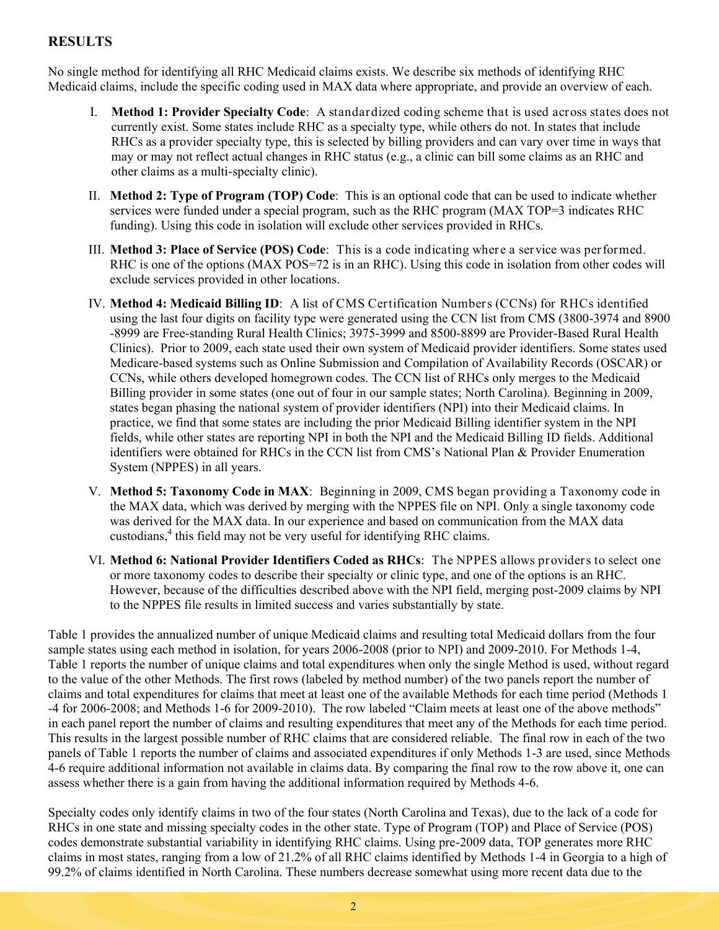#### **RESULTS**

No single method for identifying all RHC Medicaid claims exists. We describe six methods of identifying RHC Medicaid claims, include the specific coding used in MAX data where appropriate, and provide an overview of each.

- I. **Method 1: Provider Specialty Code**: A standardized coding scheme that is used across states does not currently exist. Some states include RHC as a specialty type, while others do not. In states that include RHCs as a provider specialty type, this is selected by billing providers and can vary over time in ways that may or may not reflect actual changes in RHC status (e.g., a clinic can bill some claims as an RHC and other claims as a multi-specialty clinic).
- II. **Method 2: Type of Program (TOP) Code**:This is an optional code that can be used to indicate whether services were funded under a special program, such as the RHC program (MAX TOP=3 indicates RHC funding). Using this code in isolation will exclude other services provided in RHCs.
- III. **Method 3: Place of Service (POS) Code**: This is a code indicating where a service was performed. RHC is one of the options (MAX POS=72 is in an RHC). Using this code in isolation from other codes will exclude services provided in other locations.
- IV. **Method 4: Medicaid Billing ID**: A list of CMS Certification Numbers (CCNs) for RHCs identified using the last four digits on facility type were generated using the CCN list from CMS (3800-3974 and 8900 -8999 are Free-standing Rural Health Clinics; 3975-3999 and 8500-8899 are Provider-Based Rural Health Clinics). Prior to 2009, each state used their own system of Medicaid provider identifiers. Some states used Medicare-based systems such as Online Submission and Compilation of Availability Records (OSCAR) or CCNs, while others developed homegrown codes. The CCN list of RHCs only merges to the Medicaid Billing provider in some states (one out of four in our sample states; North Carolina). Beginning in 2009, states began phasing the national system of provider identifiers (NPI) into their Medicaid claims. In practice, we find that some states are including the prior Medicaid Billing identifier system in the NPI fields, while other states are reporting NPI in both the NPI and the Medicaid Billing ID fields. Additional identifiers were obtained for RHCs in the CCN list from CMS's National Plan & Provider Enumeration System (NPPES) in all years.
- V. **Method 5: Taxonomy Code in MAX**: Beginning in 2009, CMS began providing a Taxonomy code in the MAX data, which was derived by merging with the NPPES file on NPI. Only a single taxonomy code was derived for the MAX data. In our experience and based on communication from the MAX data custodians,<sup>4</sup> this field may not be very useful for identifying RHC claims.
- VI. **Method 6: National Provider Identifiers Coded as RHCs**: The NPPES allows providers to select one or more taxonomy codes to describe their specialty or clinic type, and one of the options is an RHC. However, because of the difficulties described above with the NPI field, merging post-2009 claims by NPI to the NPPES file results in limited success and varies substantially by state.

Table 1 provides the annualized number of unique Medicaid claims and resulting total Medicaid dollars from the four sample states using each method in isolation, for years 2006-2008 (prior to NPI) and 2009-2010. For Methods 1-4, Table 1 reports the number of unique claims and total expenditures when only the single Method is used, without regard to the value of the other Methods. The first rows (labeled by method number) of the two panels report the number of claims and total expenditures for claims that meet at least one of the available Methods for each time period (Methods 1 -4 for 2006-2008; and Methods 1-6 for 2009-2010). The row labeled "Claim meets at least one of the above methods" in each panel report the number of claims and resulting expenditures that meet any of the Methods for each time period. This results in the largest possible number of RHC claims that are considered reliable. The final row in each of the two panels of Table 1 reports the number of claims and associated expenditures if only Methods 1-3 are used, since Methods 4-6 require additional information not available in claims data. By comparing the final row to the row above it, one can assess whether there is a gain from having the additional information required by Methods 4-6.

Specialty codes only identify claims in two of the four states (North Carolina and Texas), due to the lack of a code for RHCs in one state and missing specialty codes in the other state. Type of Program (TOP) and Place of Service (POS) codes demonstrate substantial variability in identifying RHC claims. Using pre-2009 data, TOP generates more RHC claims in most states, ranging from a low of 21.2% of all RHC claims identified by Methods 1-4 in Georgia to a high of 99.2% of claims identified in North Carolina. These numbers decrease somewhat using more recent data due to the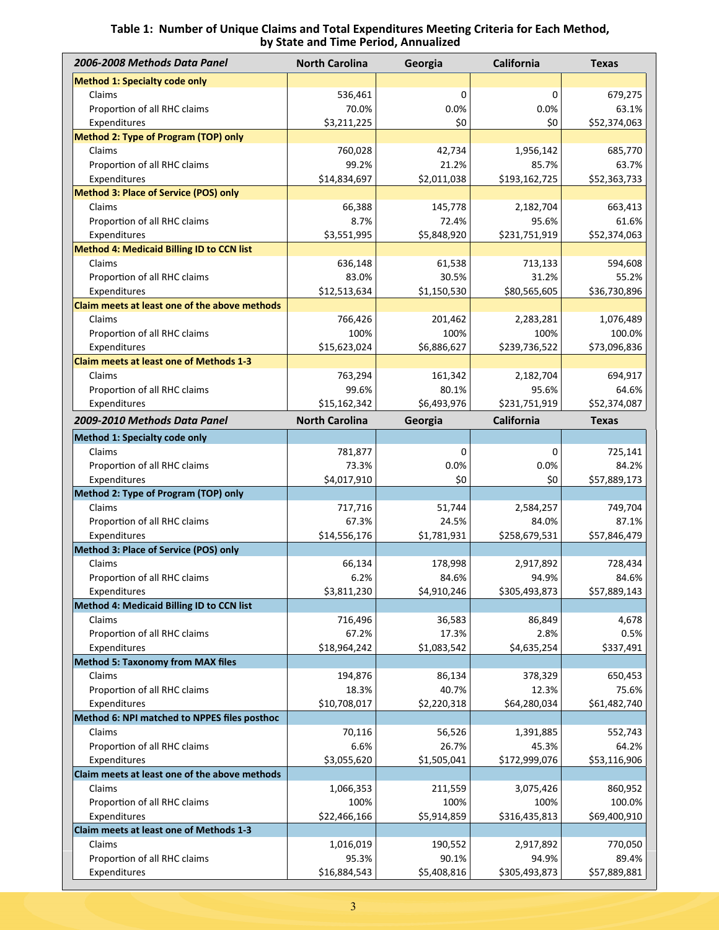#### **Table 1: Number of Unique Claims and Total Expenditures Meeting Criteria for Each Method, by State and Time Period, Annualized**

| 2006-2008 Methods Data Panel                                  | <b>North Carolina</b> | Georgia         | California             | <b>Texas</b>     |
|---------------------------------------------------------------|-----------------------|-----------------|------------------------|------------------|
| <b>Method 1: Specialty code only</b>                          |                       |                 |                        |                  |
| Claims                                                        | 536,461               | 0               | 0                      | 679,275          |
| Proportion of all RHC claims                                  | 70.0%                 | 0.0%            | 0.0%                   | 63.1%            |
| Expenditures                                                  | \$3,211,225           | \$0             | \$0                    | \$52,374,063     |
| Method 2: Type of Program (TOP) only                          |                       |                 |                        |                  |
| Claims                                                        | 760,028               | 42,734          | 1,956,142              | 685,770          |
| Proportion of all RHC claims                                  | 99.2%                 | 21.2%           | 85.7%                  | 63.7%            |
| Expenditures                                                  | \$14,834,697          | \$2,011,038     | \$193,162,725          | \$52,363,733     |
| <b>Method 3: Place of Service (POS) only</b>                  |                       |                 |                        |                  |
| Claims                                                        | 66,388                | 145,778         | 2,182,704              | 663,413          |
| Proportion of all RHC claims                                  | 8.7%                  | 72.4%           | 95.6%                  | 61.6%            |
| Expenditures                                                  | \$3,551,995           | \$5,848,920     | \$231,751,919          | \$52,374,063     |
| Method 4: Medicaid Billing ID to CCN list                     |                       |                 |                        |                  |
| Claims                                                        | 636,148               | 61,538          | 713,133                | 594,608          |
| Proportion of all RHC claims                                  | 83.0%                 | 30.5%           | 31.2%                  | 55.2%            |
| Expenditures                                                  | \$12,513,634          | \$1,150,530     | \$80,565,605           | \$36,730,896     |
| Claim meets at least one of the above methods                 |                       |                 |                        |                  |
| Claims                                                        | 766,426               | 201,462         | 2,283,281              | 1,076,489        |
| Proportion of all RHC claims                                  | 100%                  | 100%            | 100%                   | 100.0%           |
| Expenditures                                                  | \$15,623,024          | \$6,886,627     | \$239,736,522          | \$73,096,836     |
| Claim meets at least one of Methods 1-3                       |                       |                 |                        |                  |
| Claims                                                        | 763,294               | 161,342         | 2,182,704              | 694,917          |
| Proportion of all RHC claims                                  | 99.6%                 | 80.1%           | 95.6%                  | 64.6%            |
| Expenditures                                                  | \$15,162,342          | \$6,493,976     | \$231,751,919          | \$52,374,087     |
| 2009-2010 Methods Data Panel                                  | <b>North Carolina</b> | Georgia         | California             | <b>Texas</b>     |
|                                                               |                       |                 |                        |                  |
| Method 1: Specialty code only                                 |                       |                 |                        |                  |
| Claims                                                        | 781,877               | 0               | 0                      | 725,141          |
| Proportion of all RHC claims                                  | 73.3%                 | 0.0%            | 0.0%                   | 84.2%            |
| Expenditures                                                  | \$4,017,910           | \$0             | \$0                    | \$57,889,173     |
| Method 2: Type of Program (TOP) only                          |                       |                 |                        |                  |
| Claims<br>Proportion of all RHC claims                        | 717,716<br>67.3%      | 51,744<br>24.5% | 2,584,257<br>84.0%     | 749,704<br>87.1% |
| Expenditures                                                  | \$14,556,176          |                 |                        | \$57,846,479     |
| Method 3: Place of Service (POS) only                         |                       | \$1,781,931     | \$258,679,531          |                  |
|                                                               |                       |                 |                        |                  |
| Claims                                                        | 66,134                | 178,998         | 2,917,892              | 728,434          |
| Proportion of all RHC claims                                  | 6.2%<br>\$3,811,230   | 84.6%           | 94.9%<br>\$305,493,873 | 84.6%            |
| Expenditures<br>Method 4: Medicaid Billing ID to CCN list     |                       | \$4,910,246     |                        | \$57,889,143     |
| Claims                                                        | 716,496               | 36,583          | 86,849                 | 4,678            |
| Proportion of all RHC claims                                  | 67.2%                 | 17.3%           | 2.8%                   | 0.5%             |
| Expenditures                                                  | \$18,964,242          | \$1,083,542     | \$4,635,254            | \$337,491        |
| <b>Method 5: Taxonomy from MAX files</b>                      |                       |                 |                        |                  |
| Claims                                                        | 194,876               |                 | 378,329                |                  |
| Proportion of all RHC claims                                  | 18.3%                 | 86,134<br>40.7% | 12.3%                  | 650,453<br>75.6% |
| Expenditures                                                  | \$10,708,017          | \$2,220,318     | \$64,280,034           | \$61,482,740     |
| Method 6: NPI matched to NPPES files posthoc                  |                       |                 |                        |                  |
| Claims                                                        | 70,116                | 56,526          | 1,391,885              | 552,743          |
| Proportion of all RHC claims                                  | 6.6%                  | 26.7%           | 45.3%                  | 64.2%            |
|                                                               |                       |                 |                        |                  |
| Expenditures<br>Claim meets at least one of the above methods | \$3,055,620           | \$1,505,041     | \$172,999,076          | \$53,116,906     |
| Claims                                                        | 1,066,353             | 211,559         |                        | 860,952          |
|                                                               |                       |                 | 3,075,426<br>100%      |                  |
| Proportion of all RHC claims                                  | 100%                  | 100%            |                        | 100.0%           |
| Expenditures                                                  | \$22,466,166          | \$5,914,859     | \$316,435,813          | \$69,400,910     |
| Claim meets at least one of Methods 1-3                       |                       |                 |                        |                  |
| Claims                                                        | 1,016,019             | 190,552         | 2,917,892              | 770,050          |
| Proportion of all RHC claims                                  | 95.3%                 | 90.1%           | 94.9%                  | 89.4%            |
| Expenditures                                                  | \$16,884,543          | \$5,408,816     | \$305,493,873          | \$57,889,881     |